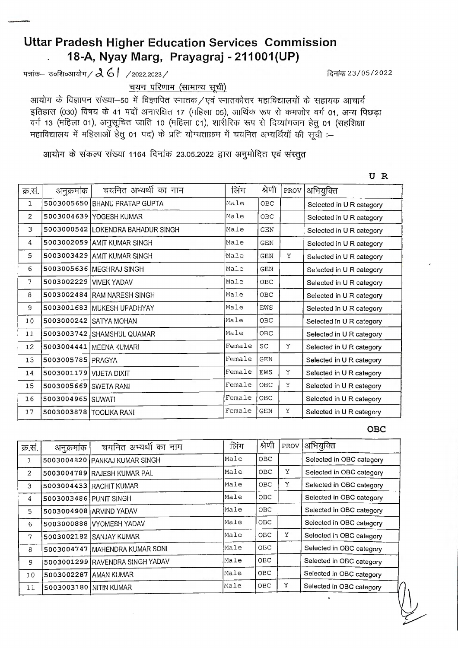## **Uttar Pradesh Higher Education Services Commission** 18-A, Nyay Marg, Prayagraj - 211001(UP)

पत्रांक– उ०शि०आयोग /  $\lambda$  6 | /2022.2023 /

चयन परिणाम (सामान्य सूची)

आयोग के विज्ञापन संख्या-50 में विज्ञापित स्नातक/एवं स्नातकोत्तर महाविद्यालयों के सहायक आचार्य इतिहास (030) विषय के 41 पदों अनारक्षित 17 (महिला 05), आर्थिक रूप से कमजोर वर्ग 01, अन्य पिछड़ा वर्ग 13 (महिला 01), अनुसूचित जाति 10 (महिला 01), शारीरिक रूप से दिव्यांगजन हेतु 01 (सहशिक्षा महाविद्यालय में महिलाओं हेत 01 पद) के प्रति योग्यताक्रम में चयनित अभ्यर्थियों की सची :-

आयोग के संकल्प संख्या 1164 दिनांक 23.05.2022 द्वारा अनुमोदित एवं संस्तूत

चयनित अभ्यर्थी का नाम लिंग श्रेणी PROV अभियुक्ति क्र.सं. अनुक्रमांक **BHANU PRATAP GUPTA** 5003005650 Male **OBC**  $\mathbf{1}$ Selected in U R category  $\overline{c}$ 5003004639 YOGESH KUMAR Male **OBC** Selected in U R category 3 5003000542 **LOKENDRA BAHADUR SINGH** Male **GEN** Selected in U R category  $\overline{4}$ 5003002059 AMIT KUMAR SINGH Male **GEN** Selected in U R category 5003003429 AMIT KUMAR SINGH 5 Male **GEN** Ý Selected in U R category  $6\overline{6}$ 5003005636 MEGHRAJ SINGH Male **GEN** Selected in U R category  $\overline{7}$ 5003002229 VIVEK YADAV Male OBC Selected in U R category 8 5003002484 RAM NARESH SINGH Male OBC Selected in U R category  $\overline{9}$ 5003001683 MUKESH UPADHYAY Male EWS Selected in U R category 5003000242 SATYA MOHAN Male **OBC**  $10$ Selected in U R category OBC 5003003742 SHAMSHUL QUAMAR Male  $11$ Selected in U R category 5003004441 MEENA KUMARI Female  $SC$ Y  $12$ Selected in U R category 5003005785 PRAGYA Female **GEN** 13 Selected in U R category 5003001179 VIJETA DIXIT Female EWS Y 14 Selected in U R category OBC Ý Female 5003005669 SWETA RANI 15 Selected in U R category Female OBC 16 5003004965 SUWATI Selected in U R category Female **GEN** Y  $17$ 5003003878 TOOLIKA RANI Selected in U R category

**OBC** 

| क्र.सं.        | अनुक्रमांक             | चयनित अभ्यर्थी का नाम           | लिंग | श्रेणी     | PROV | अभियुक्ति                |
|----------------|------------------------|---------------------------------|------|------------|------|--------------------------|
| 1              |                        | 5003004820 PANKAJ KUMAR SINGH   | Male | OBC        |      | Selected in OBC category |
| $\overline{2}$ |                        | 5003004789 RAJESH KUMAR PAL     | Male | OBC        | Y    | Selected in OBC category |
| 3              |                        | 5003004433 RACHIT KUMAR         | Male | OBC        | Y    | Selected in OBC category |
| 4              | 5003003486 PUNIT SINGH |                                 | Male | <b>OBC</b> |      | Selected in OBC category |
| 5              |                        | 5003004908 ARVIND YADAV         | Male | OBC        |      | Selected in OBC category |
| 6              |                        | 5003000888 VYOMESH YADAV        | Male | <b>OBC</b> |      | Selected in OBC category |
| 7              |                        | 5003002182 SANJAY KUMAR         | Male | OBC        | Y    | Selected in OBC category |
| 8              |                        | 5003004747 MAHENDRA KUMAR SONI  | Male | <b>OBC</b> |      | Selected in OBC category |
| 9              |                        | 5003001299 RAVENDRA SINGH YADAV | Male | OBC        |      | Selected in OBC category |
| 10             | 5003002287 AMAN KUMAR  |                                 | Male | <b>OBC</b> |      | Selected in OBC category |
| 11             | 5003003180 NITIN KUMAR |                                 | Male | OBC        | Y    | Selected in OBC category |
|                |                        |                                 |      |            |      |                          |

दिनांक 23/05/2022

UR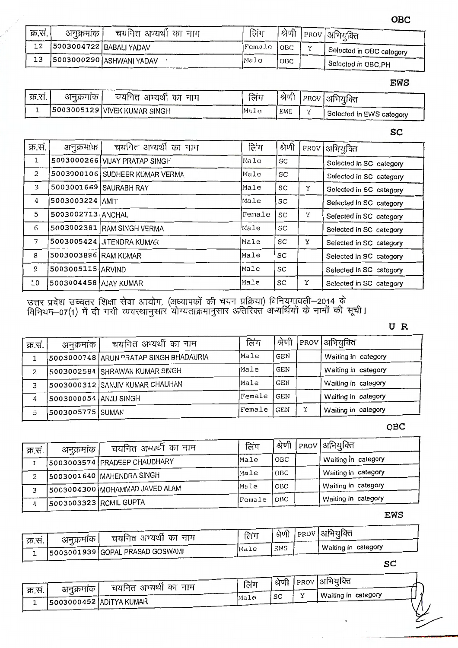OBC

| क्र.सं. | अनुक्रमांक | चयनित अभ्यर्थी का नाग    | लिंग       |     |              | । श्रेणी   PROV   अभियुक्ति |
|---------|------------|--------------------------|------------|-----|--------------|-----------------------------|
| 12      |            | 5003004722 BABALI YADAV  | Female OBC |     | $\mathbf{v}$ | Selected in OBC category    |
| 13      |            | S003000290 ASHWANI YADAV | Male       | OBC |              | Selected in OBC, PH         |

## **EWS**

| क्र.सं. | अनुक्रमाक | चयनित अभ्यर्था का नाग          | लिंग | श्रेणी |           | PROV अभियक्ति            |
|---------|-----------|--------------------------------|------|--------|-----------|--------------------------|
|         |           | 5003005129   VIVEK KUMAR SINGH | Male | EWS    | $\bullet$ | Selected in EWS category |

SC

| चयनित अभ्यर्थी का नाम | लिंग                                                                                                                                                                                                                                                                             | श्रेणी |   | PROV   अभियुक्ति        |
|-----------------------|----------------------------------------------------------------------------------------------------------------------------------------------------------------------------------------------------------------------------------------------------------------------------------|--------|---|-------------------------|
|                       | $Ma$ $Lc$                                                                                                                                                                                                                                                                        | SC     |   | Selected in SC category |
|                       | Male                                                                                                                                                                                                                                                                             | SC     |   | Selected in SC category |
|                       | Male                                                                                                                                                                                                                                                                             | SC     | Y | Selected in SC category |
|                       | Male                                                                                                                                                                                                                                                                             | SC     |   | Selected in SC category |
|                       | Female                                                                                                                                                                                                                                                                           | SC     | Y | Selected in SC category |
|                       | Male                                                                                                                                                                                                                                                                             | SC     |   | Selected in SC category |
|                       | Male                                                                                                                                                                                                                                                                             | SC     | Y | Selected in SC category |
|                       | Male                                                                                                                                                                                                                                                                             | SC     |   | Selected in SC category |
|                       | Male                                                                                                                                                                                                                                                                             | SC     |   | Selected in SC category |
|                       | Male                                                                                                                                                                                                                                                                             | SC     | Y | Selected in SC category |
| क्र.सं.               | अनुक्रमांक<br>5003000266 VIJAY PRATAP SINGH<br>5003000106 SUDHEER KUMAR VERMA<br>5003001669 SAURABH RAY<br>5003003224 AMIT<br>5003002713 ANCHAL<br>5003002381 RAM SINGH VERMA<br>5003005424 JITENDRA KUMAR<br>5003003886 RAM KUMAR<br>5003005115 ARVIND<br>5003004458 AJAY KUMAR |        |   |                         |

उत्तर प्रदेश उच्चतर शिक्षा सेवा आयोग, (अध्यापकों की चयन प्रक्रिया) विनियमावली—2014 के<br>विनियम—07(1) में दी गयी व्यवस्थानुसार योग्यताक्रमानुसार अतिरिक्त अभ्यर्थियों के नामों की सूची।

UR

| क्र.सं. | अनुक्रमांक            | चयनित अभ्यर्थी का नाम                  | लिंग    | श्रेणी     |   | PROV  अभियुक्ति     |
|---------|-----------------------|----------------------------------------|---------|------------|---|---------------------|
|         |                       | 5003000748 ARUN PRATAP SINGH BHADAURIA | Male    | GEN        |   | Waiting in category |
| 2       |                       | 5003002584 SHRAWAN KUMAR SINGH         | Male    | GEN        |   | Waiting in category |
| 3       |                       | 5003000312 SANJIV KUMAR CHAUHAN        | Male    | GEN        |   | Waiting in category |
| 4       | 5003000054 ANJU SINGH |                                        | lFemale | <b>GEN</b> |   | Waiting in category |
|         | 5003005775 SUMAN      |                                        | Female  | GEN        | v | Waiting in category |

OBC

| क्र.सं. | अनुक्रमांक             | चयनित अभ्यर्थी का नाम          | लिंग   | श्रेणी | PROV   अभियुक्ति    |
|---------|------------------------|--------------------------------|--------|--------|---------------------|
|         |                        |                                | Male   | OBC    | Waiting in category |
|         |                        | 5003003574 PRADEEP CHAUDHARY   |        |        |                     |
|         |                        | 5003001640 MAHENDRA SINGH      | Male   | OBC    | Waiting in category |
|         |                        | 5003004300 MOHAMMAD JAVED ALAM | Male   | OBC    | Waiting in category |
|         | 5003003323 ROMIL GUPTA |                                | Female | OBC    | Waiting in category |

**EWS** 

| क्र.सं. | अनुक्रमाक | चयनित अभ्यर्थी का नाम           | लिंग |     | श्रेणी PROV अभियुक्ति |
|---------|-----------|---------------------------------|------|-----|-----------------------|
|         |           | 5003001939 GOPAL PRASAD GOSWAMI | Male | EWS | Waiting in category   |

 $SC$ 

|         | अनुक्रमाक               | चयनित अभ्यर्थी का नाम | लिंग | श्रेणी | $ $ PROV   अभियुक्ति |     |
|---------|-------------------------|-----------------------|------|--------|----------------------|-----|
| क्र.सं. | 5003000452 ADITYA KUMAR |                       | Male | SC     | Waiting in category  |     |
|         |                         |                       |      |        |                      | ر س |